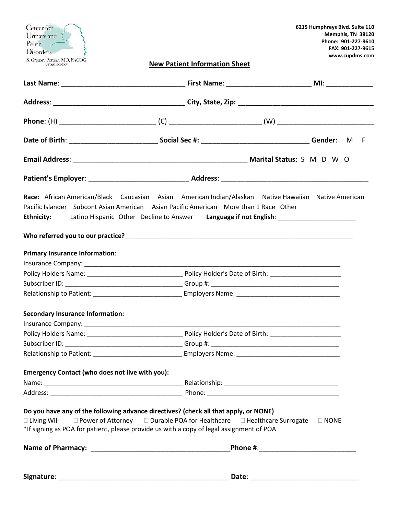| Center for<br>Urinary and<br>Pelvic /<br>Disorders<br>S. Gregory Portera, MD, FACOG<br>Urogynecology                                                                                                                                                                                          | <b>New Patient Information Sheet</b>                                                                                                                                                                                           | 6215 Humphreys Blvd. Suite 110<br>Memphis, TN 38120<br>Phone: 901-227-9610<br>FAX: 901-227-9615<br>www.cupdms.com                                                                        |  |
|-----------------------------------------------------------------------------------------------------------------------------------------------------------------------------------------------------------------------------------------------------------------------------------------------|--------------------------------------------------------------------------------------------------------------------------------------------------------------------------------------------------------------------------------|------------------------------------------------------------------------------------------------------------------------------------------------------------------------------------------|--|
|                                                                                                                                                                                                                                                                                               |                                                                                                                                                                                                                                |                                                                                                                                                                                          |  |
|                                                                                                                                                                                                                                                                                               |                                                                                                                                                                                                                                |                                                                                                                                                                                          |  |
|                                                                                                                                                                                                                                                                                               |                                                                                                                                                                                                                                |                                                                                                                                                                                          |  |
|                                                                                                                                                                                                                                                                                               |                                                                                                                                                                                                                                |                                                                                                                                                                                          |  |
|                                                                                                                                                                                                                                                                                               |                                                                                                                                                                                                                                |                                                                                                                                                                                          |  |
|                                                                                                                                                                                                                                                                                               |                                                                                                                                                                                                                                |                                                                                                                                                                                          |  |
| Pacific Islander Subcont Asian American Asian Pacific American More than 1 Race Other<br><b>Ethnicity:</b>                                                                                                                                                                                    |                                                                                                                                                                                                                                | Race: African American/Black Caucasian Asian American Indian/Alaskan Native Hawaiian Native American<br>Latino Hispanic Other Decline to Answer Language if not English: _______________ |  |
| <b>Primary Insurance Information:</b>                                                                                                                                                                                                                                                         |                                                                                                                                                                                                                                |                                                                                                                                                                                          |  |
|                                                                                                                                                                                                                                                                                               |                                                                                                                                                                                                                                |                                                                                                                                                                                          |  |
|                                                                                                                                                                                                                                                                                               |                                                                                                                                                                                                                                |                                                                                                                                                                                          |  |
|                                                                                                                                                                                                                                                                                               |                                                                                                                                                                                                                                |                                                                                                                                                                                          |  |
|                                                                                                                                                                                                                                                                                               | Relationship to Patient: Name: Employers Name: Name: Name: Name: Name: Name: Name: Name: Name: Name: Name: Name: Name: Name: Name: Name: Name: Name: Name: Name: Name: Name: Name: Name: Name: Name: Name: Name: Name: Name: N |                                                                                                                                                                                          |  |
| <b>Secondary Insurance Information:</b>                                                                                                                                                                                                                                                       |                                                                                                                                                                                                                                |                                                                                                                                                                                          |  |
|                                                                                                                                                                                                                                                                                               |                                                                                                                                                                                                                                |                                                                                                                                                                                          |  |
|                                                                                                                                                                                                                                                                                               |                                                                                                                                                                                                                                |                                                                                                                                                                                          |  |
|                                                                                                                                                                                                                                                                                               |                                                                                                                                                                                                                                |                                                                                                                                                                                          |  |
|                                                                                                                                                                                                                                                                                               |                                                                                                                                                                                                                                |                                                                                                                                                                                          |  |
| <b>Emergency Contact (who does not live with you):</b>                                                                                                                                                                                                                                        |                                                                                                                                                                                                                                |                                                                                                                                                                                          |  |
|                                                                                                                                                                                                                                                                                               |                                                                                                                                                                                                                                |                                                                                                                                                                                          |  |
|                                                                                                                                                                                                                                                                                               |                                                                                                                                                                                                                                |                                                                                                                                                                                          |  |
| Do you have any of the following advance directives? (check all that apply, or NONE)<br>$\Box$ Living Will $\Box$ Power of Attorney $\Box$ Durable POA for Healthcare $\Box$ Healthcare Surrogate<br>*If signing as POA for patient, please provide us with a copy of legal assignment of POA |                                                                                                                                                                                                                                | $\Box$ NONE                                                                                                                                                                              |  |
|                                                                                                                                                                                                                                                                                               |                                                                                                                                                                                                                                |                                                                                                                                                                                          |  |
|                                                                                                                                                                                                                                                                                               |                                                                                                                                                                                                                                |                                                                                                                                                                                          |  |